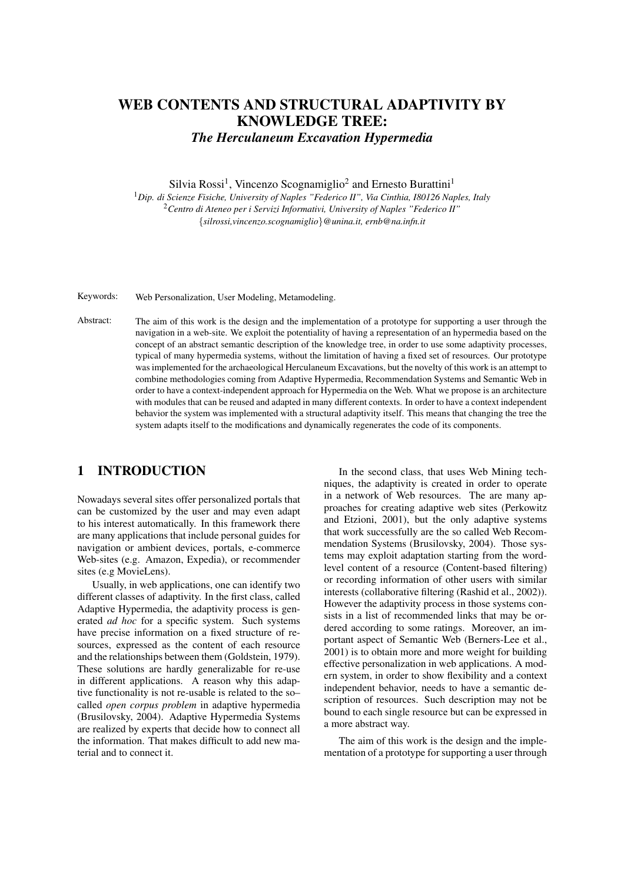# WEB CONTENTS AND STRUCTURAL ADAPTIVITY BY KNOWLEDGE TREE: *The Herculaneum Excavation Hypermedia*

Silvia Rossi<sup>1</sup>, Vincenzo Scognamiglio<sup>2</sup> and Ernesto Burattini<sup>1</sup>

<sup>1</sup>*Dip. di Scienze Fisiche, University of Naples "Federico II", Via Cinthia, I80126 Naples, Italy* <sup>2</sup>*Centro di Ateneo per i Servizi Informativi, University of Naples "Federico II"* {*silrossi,vincenzo.scognamiglio*}*@unina.it, ernb@na.infn.it*

Keywords: Web Personalization, User Modeling, Metamodeling.

Abstract: The aim of this work is the design and the implementation of a prototype for supporting a user through the navigation in a web-site. We exploit the potentiality of having a representation of an hypermedia based on the concept of an abstract semantic description of the knowledge tree, in order to use some adaptivity processes, typical of many hypermedia systems, without the limitation of having a fixed set of resources. Our prototype was implemented for the archaeological Herculaneum Excavations, but the novelty of this work is an attempt to combine methodologies coming from Adaptive Hypermedia, Recommendation Systems and Semantic Web in order to have a context-independent approach for Hypermedia on the Web. What we propose is an architecture with modules that can be reused and adapted in many different contexts. In order to have a context independent behavior the system was implemented with a structural adaptivity itself. This means that changing the tree the system adapts itself to the modifications and dynamically regenerates the code of its components.

## 1 INTRODUCTION

Nowadays several sites offer personalized portals that can be customized by the user and may even adapt to his interest automatically. In this framework there are many applications that include personal guides for navigation or ambient devices, portals, e-commerce Web-sites (e.g. Amazon, Expedia), or recommender sites (e.g MovieLens).

Usually, in web applications, one can identify two different classes of adaptivity. In the first class, called Adaptive Hypermedia, the adaptivity process is generated *ad hoc* for a specific system. Such systems have precise information on a fixed structure of resources, expressed as the content of each resource and the relationships between them (Goldstein, 1979). These solutions are hardly generalizable for re-use in different applications. A reason why this adaptive functionality is not re-usable is related to the so– called *open corpus problem* in adaptive hypermedia (Brusilovsky, 2004). Adaptive Hypermedia Systems are realized by experts that decide how to connect all the information. That makes difficult to add new material and to connect it.

In the second class, that uses Web Mining techniques, the adaptivity is created in order to operate in a network of Web resources. The are many approaches for creating adaptive web sites (Perkowitz and Etzioni, 2001), but the only adaptive systems that work successfully are the so called Web Recommendation Systems (Brusilovsky, 2004). Those systems may exploit adaptation starting from the wordlevel content of a resource (Content-based filtering) or recording information of other users with similar interests (collaborative filtering (Rashid et al., 2002)). However the adaptivity process in those systems consists in a list of recommended links that may be ordered according to some ratings. Moreover, an important aspect of Semantic Web (Berners-Lee et al., 2001) is to obtain more and more weight for building effective personalization in web applications. A modern system, in order to show flexibility and a context independent behavior, needs to have a semantic description of resources. Such description may not be bound to each single resource but can be expressed in a more abstract way.

The aim of this work is the design and the implementation of a prototype for supporting a user through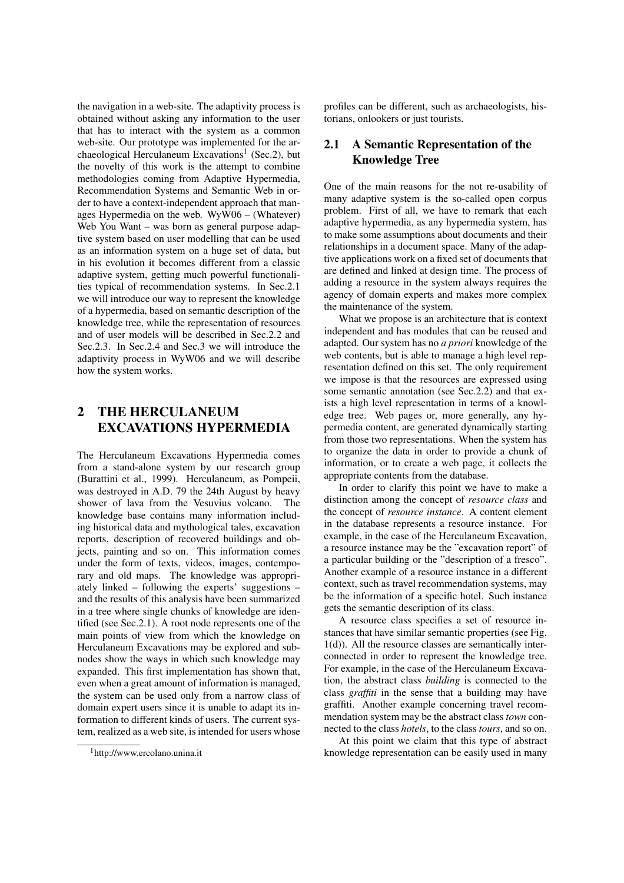the navigation in a web-site. The adaptivity process is obtained without asking any information to the user that has to interact with the system as a common web-site. Our prototype was implemented for the archaeological Herculaneum Excavations<sup>1</sup> (Sec.2), but the novelty of this work is the attempt to combine methodologies coming from Adaptive Hypermedia, Recommendation Systems and Semantic Web in order to have a context-independent approach that manages Hypermedia on the web. WyW06 – (Whatever) Web You Want – was born as general purpose adaptive system based on user modelling that can be used as an information system on a huge set of data, but in his evolution it becomes different from a classic adaptive system, getting much powerful functionalities typical of recommendation systems. In Sec.2.1 we will introduce our way to represent the knowledge of a hypermedia, based on semantic description of the knowledge tree, while the representation of resources and of user models will be described in Sec.2.2 and Sec.2.3. In Sec.2.4 and Sec.3 we will introduce the adaptivity process in WyW06 and we will describe how the system works.

## 2 THE HERCULANEUM EXCAVATIONS HYPERMEDIA

The Herculaneum Excavations Hypermedia comes from a stand-alone system by our research group (Burattini et al., 1999). Herculaneum, as Pompeii, was destroyed in A.D. 79 the 24th August by heavy shower of lava from the Vesuvius volcano. The knowledge base contains many information including historical data and mythological tales, excavation reports, description of recovered buildings and objects, painting and so on. This information comes under the form of texts, videos, images, contemporary and old maps. The knowledge was appropriately linked – following the experts' suggestions – and the results of this analysis have been summarized in a tree where single chunks of knowledge are identified (see Sec.2.1). A root node represents one of the main points of view from which the knowledge on Herculaneum Excavations may be explored and subnodes show the ways in which such knowledge may expanded. This first implementation has shown that, even when a great amount of information is managed, the system can be used only from a narrow class of domain expert users since it is unable to adapt its information to different kinds of users. The current system, realized as a web site, is intended for users whose

<sup>1</sup>http://www.ercolano.unina.it

profiles can be different, such as archaeologists, historians, onlookers or just tourists.

## 2.1 A Semantic Representation of the Knowledge Tree

One of the main reasons for the not re-usability of many adaptive system is the so-called open corpus problem. First of all, we have to remark that each adaptive hypermedia, as any hypermedia system, has to make some assumptions about documents and their relationships in a document space. Many of the adaptive applications work on a fixed set of documents that are defined and linked at design time. The process of adding a resource in the system always requires the agency of domain experts and makes more complex the maintenance of the system.

What we propose is an architecture that is context independent and has modules that can be reused and adapted. Our system has no *a priori* knowledge of the web contents, but is able to manage a high level representation defined on this set. The only requirement we impose is that the resources are expressed using some semantic annotation (see Sec.2.2) and that exists a high level representation in terms of a knowledge tree. Web pages or, more generally, any hypermedia content, are generated dynamically starting from those two representations. When the system has to organize the data in order to provide a chunk of information, or to create a web page, it collects the appropriate contents from the database.

In order to clarify this point we have to make a distinction among the concept of *resource class* and the concept of *resource instance*. A content element in the database represents a resource instance. For example, in the case of the Herculaneum Excavation, a resource instance may be the "excavation report" of a particular building or the "description of a fresco". Another example of a resource instance in a different context, such as travel recommendation systems, may be the information of a specific hotel. Such instance gets the semantic description of its class.

A resource class specifies a set of resource instances that have similar semantic properties (see Fig. 1(d)). All the resource classes are semantically interconnected in order to represent the knowledge tree. For example, in the case of the Herculaneum Excavation, the abstract class *building* is connected to the class *graffiti* in the sense that a building may have graffiti. Another example concerning travel recommendation system may be the abstract class *town* connected to the class *hotels*, to the class *tours*, and so on.

At this point we claim that this type of abstract knowledge representation can be easily used in many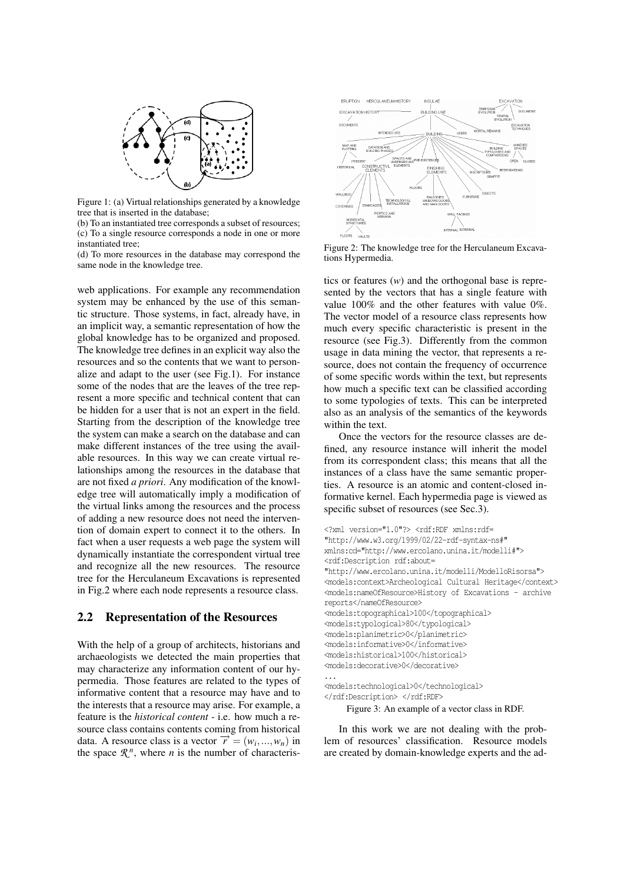

Figure 1: (a) Virtual relationships generated by a knowledge tree that is inserted in the database;

(b) To an instantiated tree corresponds a subset of resources; (c) To a single resource corresponds a node in one or more instantiated tree;

(d) To more resources in the database may correspond the same node in the knowledge tree.

web applications. For example any recommendation system may be enhanced by the use of this semantic structure. Those systems, in fact, already have, in an implicit way, a semantic representation of how the global knowledge has to be organized and proposed. The knowledge tree defines in an explicit way also the resources and so the contents that we want to personalize and adapt to the user (see Fig.1). For instance some of the nodes that are the leaves of the tree represent a more specific and technical content that can be hidden for a user that is not an expert in the field. Starting from the description of the knowledge tree the system can make a search on the database and can make different instances of the tree using the available resources. In this way we can create virtual relationships among the resources in the database that are not fixed *a priori*. Any modification of the knowledge tree will automatically imply a modification of the virtual links among the resources and the process of adding a new resource does not need the intervention of domain expert to connect it to the others. In fact when a user requests a web page the system will dynamically instantiate the correspondent virtual tree and recognize all the new resources. The resource tree for the Herculaneum Excavations is represented in Fig.2 where each node represents a resource class.

#### 2.2 Representation of the Resources

With the help of a group of architects, historians and archaeologists we detected the main properties that may characterize any information content of our hypermedia. Those features are related to the types of informative content that a resource may have and to the interests that a resource may arise. For example, a feature is the *historical content* - i.e. how much a resource class contains contents coming from historical data. A resource class is a vector  $\vec{r} = (w_i, ..., w_n)$  in the space  $\mathcal{R}^n$ , where *n* is the number of characteris-



Figure 2: The knowledge tree for the Herculaneum Excavations Hypermedia.

tics or features (*w*) and the orthogonal base is represented by the vectors that has a single feature with value 100% and the other features with value 0%. The vector model of a resource class represents how much every specific characteristic is present in the resource (see Fig.3). Differently from the common usage in data mining the vector, that represents a resource, does not contain the frequency of occurrence of some specific words within the text, but represents how much a specific text can be classified according to some typologies of texts. This can be interpreted also as an analysis of the semantics of the keywords within the text.

Once the vectors for the resource classes are defined, any resource instance will inherit the model from its correspondent class; this means that all the instances of a class have the same semantic properties. A resource is an atomic and content-closed informative kernel. Each hypermedia page is viewed as specific subset of resources (see Sec.3).

```
<?xml version="1.0"?> <rdf:RDF xmlns:rdf=
"http://www.w3.org/1999/02/22-rdf-syntax-ns#"
xmlns:cd="http://www.ercolano.unina.it/modelli#">
<rdf:Description rdf:about=
"http://www.ercolano.unina.it/modelli/ModelloRisorsa">
<models:context>Archeological Cultural Heritage</context>
<models:nameOfResource>History of Excavations - archive
reports</nameOfResource>
<models:topographical>100</topographical>
<models:typological>80</typological>
<models:planimetric>0</planimetric>
<models:informative>0</informative>
<models:historical>100</historical>
<models:decorative>0</decorative>
...
```
<models:technological>0</technological> </rdf:Description> </rdf:RDF>

Figure 3: An example of a vector class in RDF.

In this work we are not dealing with the problem of resources' classification. Resource models are created by domain-knowledge experts and the ad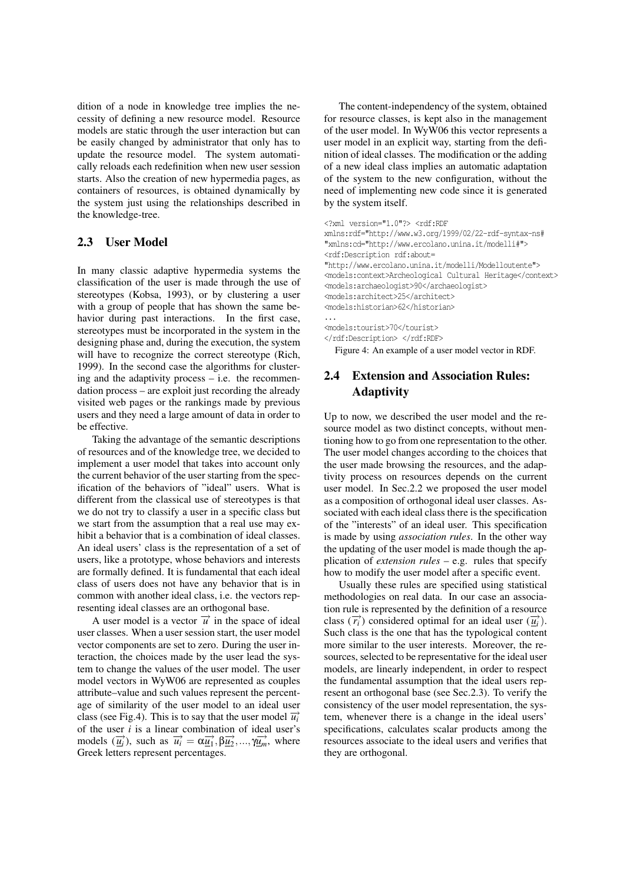dition of a node in knowledge tree implies the necessity of defining a new resource model. Resource models are static through the user interaction but can be easily changed by administrator that only has to update the resource model. The system automatically reloads each redefinition when new user session starts. Also the creation of new hypermedia pages, as containers of resources, is obtained dynamically by the system just using the relationships described in the knowledge-tree.

#### 2.3 User Model

In many classic adaptive hypermedia systems the classification of the user is made through the use of stereotypes (Kobsa, 1993), or by clustering a user with a group of people that has shown the same behavior during past interactions. In the first case, stereotypes must be incorporated in the system in the designing phase and, during the execution, the system will have to recognize the correct stereotype (Rich, 1999). In the second case the algorithms for clustering and the adaptivity process  $-$  i.e. the recommendation process – are exploit just recording the already visited web pages or the rankings made by previous users and they need a large amount of data in order to be effective.

Taking the advantage of the semantic descriptions of resources and of the knowledge tree, we decided to implement a user model that takes into account only the current behavior of the user starting from the specification of the behaviors of "ideal" users. What is different from the classical use of stereotypes is that we do not try to classify a user in a specific class but we start from the assumption that a real use may exhibit a behavior that is a combination of ideal classes. An ideal users' class is the representation of a set of users, like a prototype, whose behaviors and interests are formally defined. It is fundamental that each ideal class of users does not have any behavior that is in common with another ideal class, i.e. the vectors representing ideal classes are an orthogonal base.

A user model is a vector  $\vec{u}$  in the space of ideal user classes. When a user session start, the user model vector components are set to zero. During the user interaction, the choices made by the user lead the system to change the values of the user model. The user model vectors in WyW06 are represented as couples attribute–value and such values represent the percentage of similarity of the user model to an ideal user class (see Fig.4). This is to say that the user model  $\vec{u_i}$ of the user *i* is a linear combination of ideal user's models  $(\overrightarrow{u_i})$ , such as  $\overrightarrow{u_i} = \alpha \overrightarrow{u_1}, \beta \overrightarrow{u_2}, ..., \gamma \overrightarrow{u_m}$ , where Greek letters represent percentages.

The content-independency of the system, obtained for resource classes, is kept also in the management of the user model. In WyW06 this vector represents a user model in an explicit way, starting from the definition of ideal classes. The modification or the adding of a new ideal class implies an automatic adaptation of the system to the new configuration, without the need of implementing new code since it is generated by the system itself.

```
<?xml version="1.0"?> <rdf:RDF
xmlns:rdf="http://www.w3.org/1999/02/22-rdf-syntax-ns#
"xmlns:cd="http://www.ercolano.unina.it/modelli#">
<rdf:Description rdf:about=
"http://www.ercolano.unina.it/modelli/Modelloutente">
<models:context>Archeological Cultural Heritage</context>
<models:archaeologist>90</archaeologist>
<models:architect>25</architect>
<models:historian>62</historian>
...
```
<models:tourist>70</tourist> </rdf:Description> </rdf:RDF>

Figure 4: An example of a user model vector in RDF.

## 2.4 Extension and Association Rules: **Adaptivity**

Up to now, we described the user model and the resource model as two distinct concepts, without mentioning how to go from one representation to the other. The user model changes according to the choices that the user made browsing the resources, and the adaptivity process on resources depends on the current user model. In Sec.2.2 we proposed the user model as a composition of orthogonal ideal user classes. Associated with each ideal class there is the specification of the "interests" of an ideal user. This specification is made by using *association rules*. In the other way the updating of the user model is made though the application of *extension rules* – e.g. rules that specify how to modify the user model after a specific event.

Usually these rules are specified using statistical methodologies on real data. In our case an association rule is represented by the definition of a resource class  $(\overrightarrow{r_i})$  considered optimal for an ideal user  $(\overrightarrow{u_i})$ . Such class is the one that has the typological content more similar to the user interests. Moreover, the resources, selected to be representative for the ideal user models, are linearly independent, in order to respect the fundamental assumption that the ideal users represent an orthogonal base (see Sec.2.3). To verify the consistency of the user model representation, the system, whenever there is a change in the ideal users' specifications, calculates scalar products among the resources associate to the ideal users and verifies that they are orthogonal.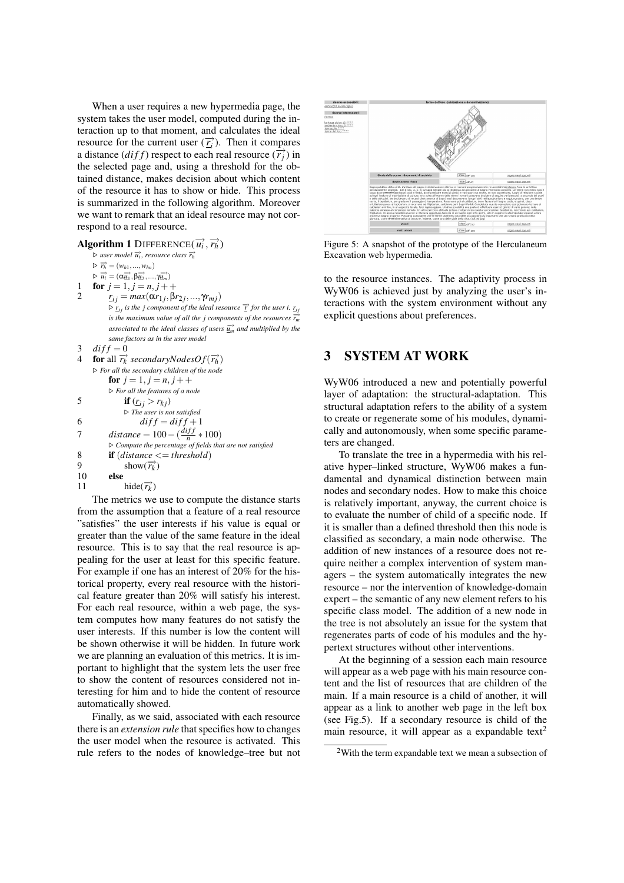When a user requires a new hypermedia page, the system takes the user model, computed during the interaction up to that moment, and calculates the ideal resource for the current user  $(\overline{r_i})$ . Then it compares a distance  $(dff)$  respect to each real resource  $(\overrightarrow{r_i})$  in the selected page and, using a threshold for the obtained distance, makes decision about which content of the resource it has to show or hide. This process is summarized in the following algorithm. Moreover we want to remark that an ideal resource may not correspond to a real resource.

 $\mathbf{Algorithm\ 1\ DIFFERENCE(\overrightarrow{u_i}, \overrightarrow{r_h})}$ . *user model* −→*u<sup>i</sup> , resource class* −→*r<sup>h</sup>*  $\triangleright \overrightarrow{r_h} = (w_{h1},...,w_{hn})$  $\triangleright \overrightarrow{u_i} = (\alpha \overrightarrow{\underline{u_1}}, \beta \overrightarrow{\underline{u_2}}, ..., \gamma \overrightarrow{\underline{u_m}})$ for  $j = 1, j = n, j + +$ 2  $r_{ij} = max(\alpha r_{1j}, \beta r_{2j}, ..., \gamma r_{mj})$  $\triangleright$   $\underline{r_i}$  *is the j component of the ideal resource*  $\overrightarrow{r}$  *for the user i.*  $\underline{r_i}$ *is the maximum value of all the j components of the resources*  $\overrightarrow{r_m}$ *associated to the ideal classes of users*  $\overrightarrow{u_n}$  *and multiplied by the same factors as in the user model* 3  $diff = 0$ 4 **for** all  $\overrightarrow{r_k}$  *secondaryNodesOf*( $\overrightarrow{r_h}$ ) . *For all the secondary children of the node* for  $j = 1, j = n, j + +$ . *For all the features of a node* 5 if  $(r_{ij} > r_{kj})$ . *The user is not satisfied* 6  $\frac{diff}{=} \frac{diff+1}{=}$ 7 *distance* =  $100 - (\frac{diff}{n} * 100)$ . *Compute the percentage of fields that are not satisfied* 8 **if**  $(distance \leq = threshold)$ <br>9 **show** $(\overrightarrow{r_k})$ 9 show $(\overrightarrow{r_k})$ 10 else 11 hide( $\overrightarrow{r_k}$ )

The metrics we use to compute the distance starts from the assumption that a feature of a real resource "satisfies" the user interests if his value is equal or greater than the value of the same feature in the ideal resource. This is to say that the real resource is appealing for the user at least for this specific feature. For example if one has an interest of 20% for the historical property, every real resource with the historical feature greater than 20% will satisfy his interest. For each real resource, within a web page, the system computes how many features do not satisfy the user interests. If this number is low the content will be shown otherwise it will be hidden. In future work we are planning an evaluation of this metrics. It is important to highlight that the system lets the user free to show the content of resources considered not interesting for him and to hide the content of resource automatically showed.

Finally, as we said, associated with each resource there is an *extension rule* that specifies how to changes the user model when the resource is activated. This rule refers to the nodes of knowledge–tree but not



Figure 5: A snapshot of the prototype of the Herculaneum Excavation web hypermedia.

to the resource instances. The adaptivity process in WyW06 is achieved just by analyzing the user's interactions with the system environment without any explicit questions about preferences.

## 3 SYSTEM AT WORK

WyW06 introduced a new and potentially powerful layer of adaptation: the structural-adaptation. This structural adaptation refers to the ability of a system to create or regenerate some of his modules, dynamically and autonomously, when some specific parameters are changed.

To translate the tree in a hypermedia with his relative hyper–linked structure, WyW06 makes a fundamental and dynamical distinction between main nodes and secondary nodes. How to make this choice is relatively important, anyway, the current choice is to evaluate the number of child of a specific node. If it is smaller than a defined threshold then this node is classified as secondary, a main node otherwise. The addition of new instances of a resource does not require neither a complex intervention of system managers – the system automatically integrates the new resource – nor the intervention of knowledge-domain expert – the semantic of any new element refers to his specific class model. The addition of a new node in the tree is not absolutely an issue for the system that regenerates parts of code of his modules and the hypertext structures without other interventions.

At the beginning of a session each main resource will appear as a web page with his main resource content and the list of resources that are children of the main. If a main resource is a child of another, it will appear as a link to another web page in the left box (see Fig.5). If a secondary resource is child of the main resource, it will appear as a expandable text<sup>2</sup>

 $2$ With the term expandable text we mean a subsection of